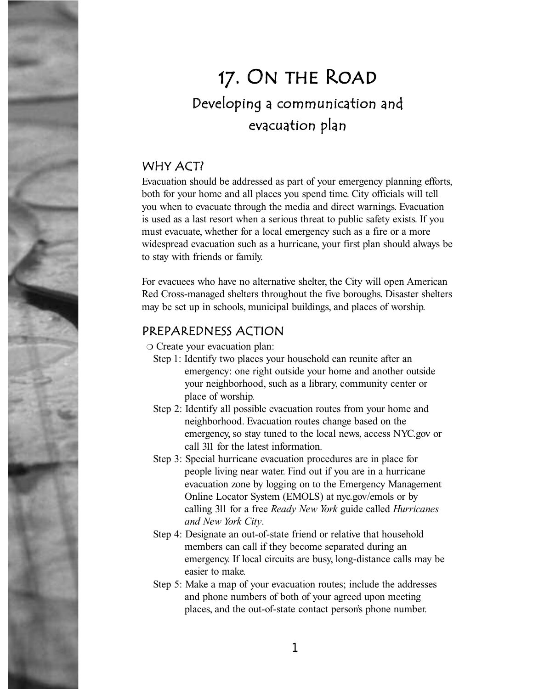# 17. On the Road Developing a communication and evacuation plan

### WHY ACT?

Evacuation should be addressed as part of your emergency planning efforts, both for your home and all places you spend time. City officials will tell you when to evacuate through the media and direct warnings. Evacuation is used as a last resort when a serious threat to public safety exists. If you must evacuate, whether for a local emergency such as a fire or a more widespread evacuation such as a hurricane, your first plan should always be to stay with friends or family.

For evacuees who have no alternative shelter, the City will open American Red Cross-managed shelters throughout the five boroughs. Disaster shelters may be set up in schools, municipal buildings, and places of worship.

### PREPAREDNESS ACTION

❍ Create your evacuation plan:

- Step 1: Identify two places your household can reunite after an emergency: one right outside your home and another outside your neighborhood, such as a library, community center or place of worship.
- Step 2: Identify all possible evacuation routes from your home and neighborhood. Evacuation routes change based on the emergency, so stay tuned to the local news, access NYC.gov or call 311 for the latest information.
- Step 3: Special hurricane evacuation procedures are in place for people living near water. Find out if you are in a hurricane evacuation zone by logging on to the Emergency Management Online Locator System (EMOLS) at nyc.gov/emols or by calling 311 for a free *Ready New York* guide called *Hurricanes and New York City*.
- Step 4: Designate an out-of-state friend or relative that household members can call if they become separated during an emergency. If local circuits are busy, long-distance calls may be easier to make.
- Step 5: Make a map of your evacuation routes; include the addresses and phone numbers of both of your agreed upon meeting places, and the out-of-state contact person's phone number.